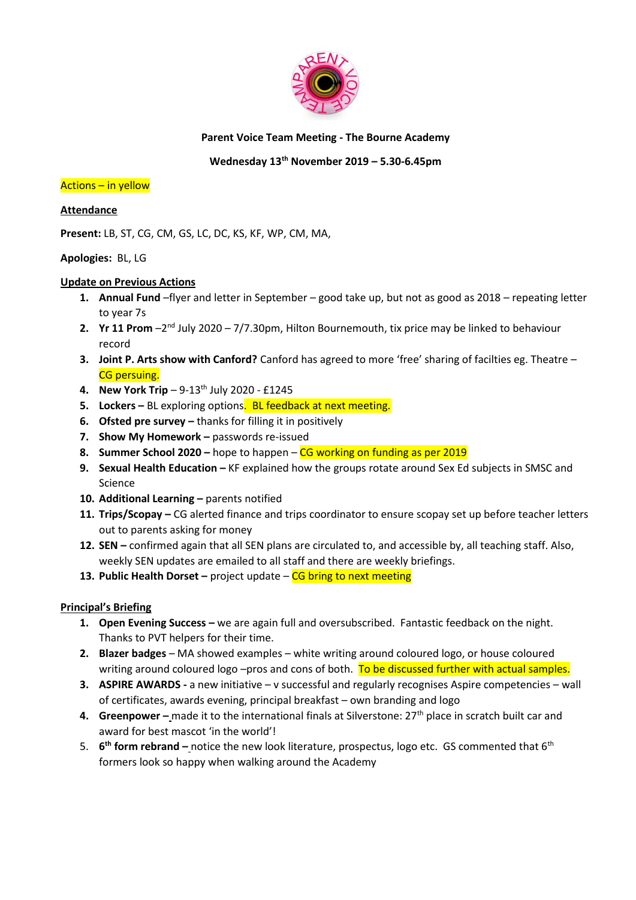

# **Parent Voice Team Meeting - The Bourne Academy**

# **Wednesday 13th November 2019 – 5.30-6.45pm**

### Actions – in yellow

# **Attendance**

**Present:** LB, ST, CG, CM, GS, LC, DC, KS, KF, WP, CM, MA,

# **Apologies:** BL, LG

### **Update on Previous Actions**

- **1. Annual Fund** –flyer and letter in September good take up, but not as good as 2018 repeating letter to year 7s
- **2.** Yr 11 Prom -2<sup>nd</sup> July 2020 7/7.30pm, Hilton Bournemouth, tix price may be linked to behaviour record
- **3. Joint P. Arts show with Canford?** Canford has agreed to more 'free' sharing of facilties eg. Theatre **CG** persuing.
- **4. New York Trip** 9-13<sup>th</sup> July 2020 £1245
- **5.** Lockers BL exploring options. BL feedback at next meeting.
- **6. Ofsted pre survey –** thanks for filling it in positively
- **7. Show My Homework –** passwords re-issued
- **8. Summer School 2020 –** hope to happen CG working on funding as per 2019
- **9.** Sexual Health Education KF explained how the groups rotate around Sex Ed subjects in SMSC and Science
- **10. Additional Learning –** parents notified
- **11. Trips/Scopay –** CG alerted finance and trips coordinator to ensure scopay set up before teacher letters out to parents asking for money
- **12. SEN –** confirmed again that all SEN plans are circulated to, and accessible by, all teaching staff. Also, weekly SEN updates are emailed to all staff and there are weekly briefings.
- **13. Public Health Dorset –** project update CG bring to next meeting

# **Principal's Briefing**

- **1. Open Evening Success –** we are again full and oversubscribed. Fantastic feedback on the night. Thanks to PVT helpers for their time.
- **2. Blazer badges**  MA showed examples white writing around coloured logo, or house coloured writing around coloured logo –pros and cons of both. To be discussed further with actual samples.
- **3. ASPIRE AWARDS -** a new initiative v successful and regularly recognises Aspire competencies wall of certificates, awards evening, principal breakfast – own branding and logo
- **4. Greenpower** made it to the international finals at Silverstone: 27<sup>th</sup> place in scratch built car and award for best mascot 'in the world'!
- 5. **6 th form rebrand –** notice the new look literature, prospectus, logo etc. GS commented that 6th formers look so happy when walking around the Academy